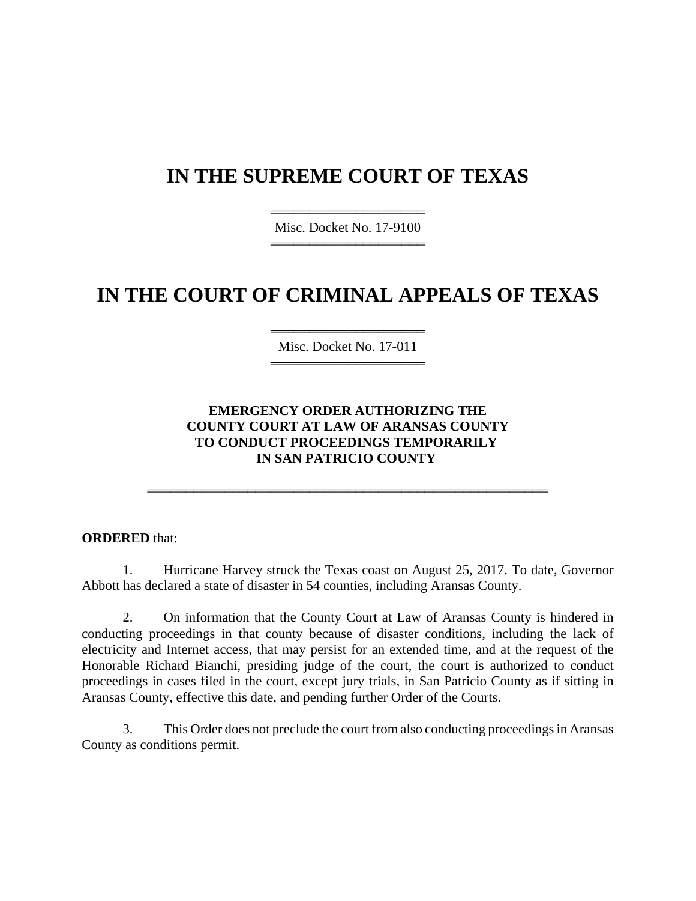## **IN THE SUPREME COURT OF TEXAS**

44444444444444444444 Misc. Docket No. 17-9100 44444444444444444444

## **IN THE COURT OF CRIMINAL APPEALS OF TEXAS**

44444444444444444444 Misc. Docket No. 17-011 44444444444444444444

## **EMERGENCY ORDER AUTHORIZING THE COUNTY COURT AT LAW OF ARANSAS COUNTY TO CONDUCT PROCEEDINGS TEMPORARILY IN SAN PATRICIO COUNTY**

4444444444444444444444444444444444444444444444444444

## **ORDERED** that:

1. Hurricane Harvey struck the Texas coast on August 25, 2017. To date, Governor Abbott has declared a state of disaster in 54 counties, including Aransas County.

2. On information that the County Court at Law of Aransas County is hindered in conducting proceedings in that county because of disaster conditions, including the lack of electricity and Internet access, that may persist for an extended time, and at the request of the Honorable Richard Bianchi, presiding judge of the court, the court is authorized to conduct proceedings in cases filed in the court, except jury trials, in San Patricio County as if sitting in Aransas County, effective this date, and pending further Order of the Courts.

3. This Order does not preclude the court from also conducting proceedings in Aransas County as conditions permit.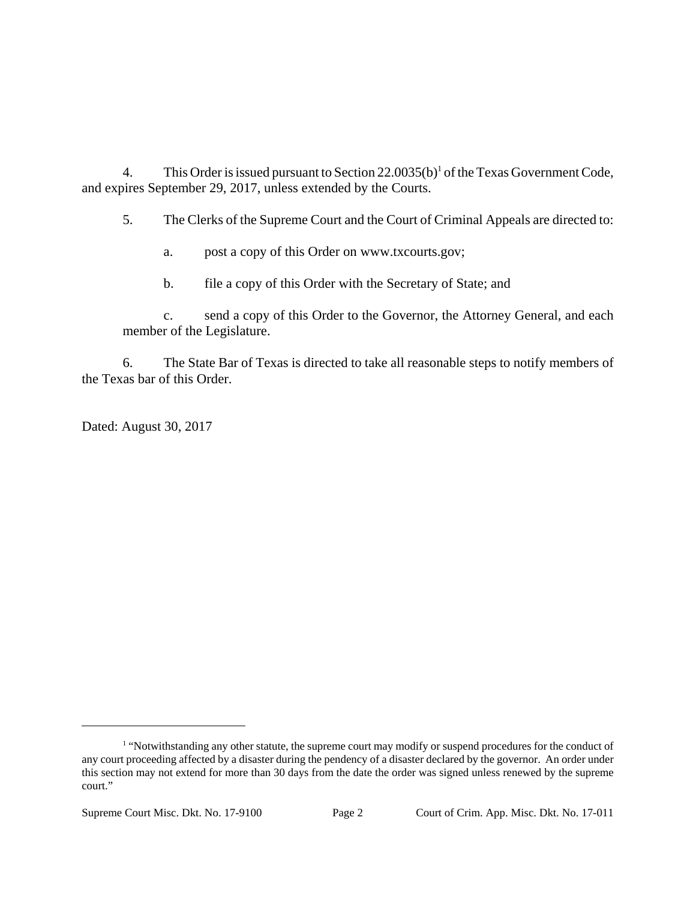4. This Order is issued pursuant to Section  $22.0035(b)^1$  of the Texas Government Code, and expires September 29, 2017, unless extended by the Courts.

5. The Clerks of the Supreme Court and the Court of Criminal Appeals are directed to:

- a. post a copy of this Order on www.txcourts.gov;
- b. file a copy of this Order with the Secretary of State; and

c. send a copy of this Order to the Governor, the Attorney General, and each member of the Legislature.

6. The State Bar of Texas is directed to take all reasonable steps to notify members of the Texas bar of this Order.

Dated: August 30, 2017

<sup>&</sup>lt;sup>1</sup> "Notwithstanding any other statute, the supreme court may modify or suspend procedures for the conduct of any court proceeding affected by a disaster during the pendency of a disaster declared by the governor. An order under this section may not extend for more than 30 days from the date the order was signed unless renewed by the supreme court."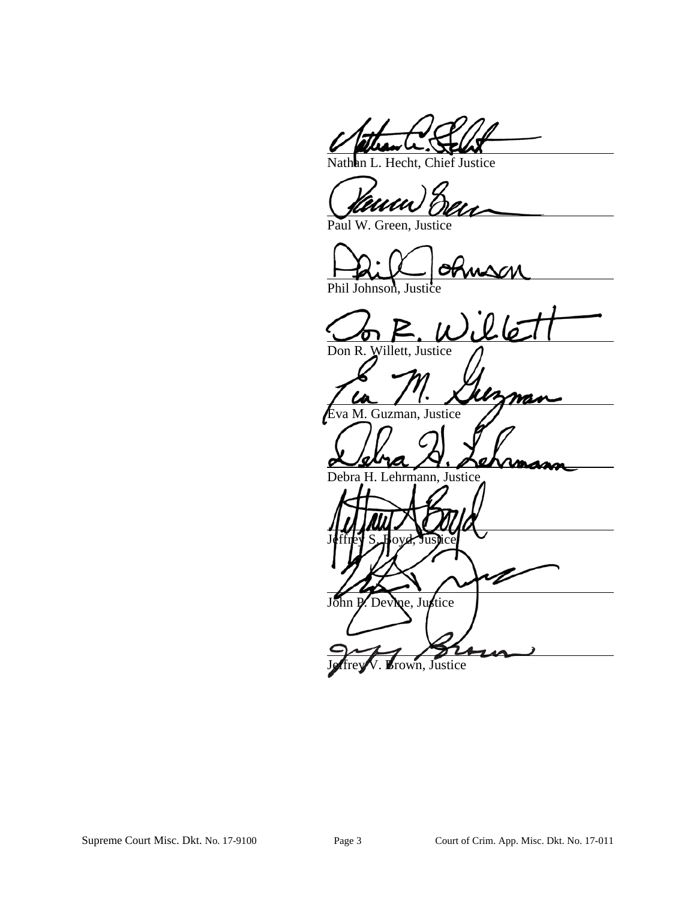un L. Hecht, Chief Justice

Paul W. Green, Justice

Phil Johnson, Justice

.<br>Llé Don R. Willett, Justice

a M. Guzman, Justice

Debra H. Lehrmann, Justice



Brown, Justice